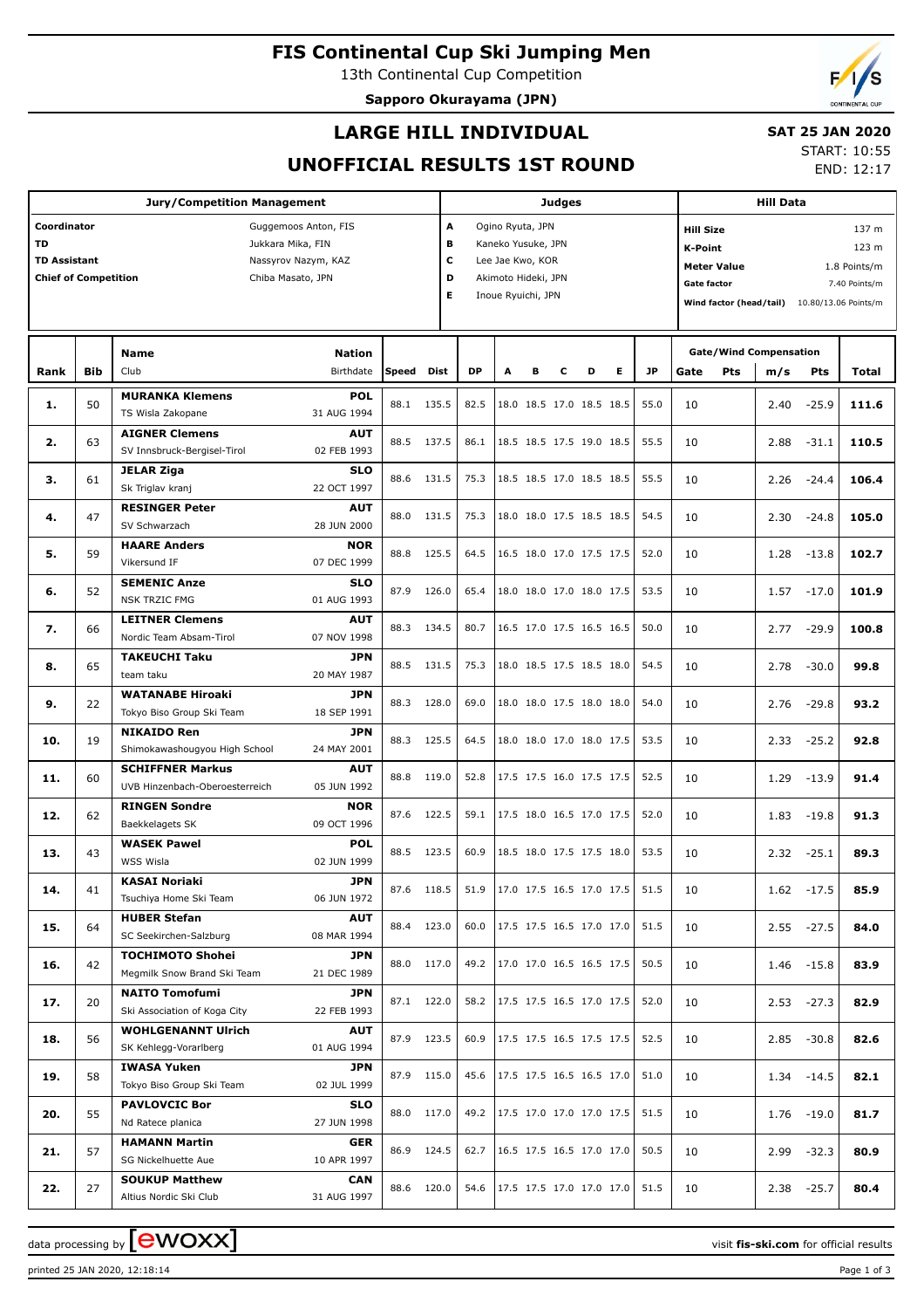## **FIS Continental Cup Ski Jumping Men**

13th Continental Cup Competition

**Sapporo Okurayama (JPN)**



### **LARGE HILL INDIVIDUAL**

## **SAT 25 JAN 2020**

## **UNOFFICIAL RESULTS 1ST ROUND**

START: 10:55 END: 12:17

|                                                                                |            | <b>Jury/Competition Management</b>                                                         |                                                                                       |              |                        |              |   |                                                                                                         | Judges |                                                      |   |              |                                                                                             |                                                                         |                    |               |
|--------------------------------------------------------------------------------|------------|--------------------------------------------------------------------------------------------|---------------------------------------------------------------------------------------|--------------|------------------------|--------------|---|---------------------------------------------------------------------------------------------------------|--------|------------------------------------------------------|---|--------------|---------------------------------------------------------------------------------------------|-------------------------------------------------------------------------|--------------------|---------------|
| Coordinator<br><b>TD</b><br><b>TD Assistant</b><br><b>Chief of Competition</b> |            |                                                                                            | Guggemoos Anton, FIS<br>Jukkara Mika, FIN<br>Nassyrov Nazym, KAZ<br>Chiba Masato, JPN |              | A<br>в<br>c<br>D<br>E. |              |   | Ogino Ryuta, JPN<br>Kaneko Yusuke, JPN<br>Lee Jae Kwo, KOR<br>Akimoto Hideki, JPN<br>Inoue Ryuichi, JPN |        |                                                      |   |              | <b>Hill Size</b><br>K-Point<br><b>Meter Value</b><br>Gate factor<br>Wind factor (head/tail) | 137 m<br>123 m<br>1.8 Points/m<br>7.40 Points/m<br>10.80/13.06 Points/m |                    |               |
| Rank                                                                           | <b>Bib</b> | <b>Name</b><br>Club                                                                        | <b>Nation</b><br>Birthdate                                                            | Speed        | Dist                   | <b>DP</b>    | A | в                                                                                                       | c      | D                                                    | Е | <b>JP</b>    | <b>Gate/Wind Compensation</b><br><b>Pts</b><br>Gate                                         | m/s                                                                     | <b>Pts</b>         | Total         |
| 1.                                                                             | 50         | <b>MURANKA Klemens</b><br>TS Wisla Zakopane                                                | <b>POL</b><br>31 AUG 1994                                                             | 88.1         | 135.5                  | 82.5         |   |                                                                                                         |        | 18.0 18.5 17.0 18.5 18.5                             |   | 55.0         | 10                                                                                          | 2.40                                                                    | $-25.9$            | 111.6         |
| 2.                                                                             | 63         | <b>AIGNER Clemens</b><br>SV Innsbruck-Bergisel-Tirol                                       | <b>AUT</b><br>02 FEB 1993                                                             | 88.5         | 137.5                  | 86.1         |   |                                                                                                         |        | 18.5 18.5 17.5 19.0 18.5                             |   | 55.5         | 10                                                                                          | 2.88                                                                    | $-31.1$            | 110.5         |
| з.                                                                             | 61         | <b>JELAR Ziga</b><br>Sk Triglav kranj                                                      | <b>SLO</b><br>22 OCT 1997                                                             | 88.6         | 131.5                  | 75.3         |   |                                                                                                         |        | 18.5 18.5 17.0 18.5 18.5                             |   | 55.5         | 10                                                                                          | 2.26                                                                    | $-24.4$            | 106.4         |
| 4.                                                                             | 47         | <b>RESINGER Peter</b><br>SV Schwarzach<br><b>HAARE Anders</b>                              | <b>AUT</b><br>28 JUN 2000<br><b>NOR</b>                                               | 88.0         | 131.5                  | 75.3         |   |                                                                                                         |        | 18.0 18.0 17.5 18.5 18.5                             |   | 54.5         | 10                                                                                          | 2.30                                                                    | $-24.8$            | 105.0         |
| 5.                                                                             | 59         | Vikersund IF<br><b>SEMENIC Anze</b>                                                        | 07 DEC 1999<br><b>SLO</b>                                                             | 88.8         | 125.5                  | 64.5         |   |                                                                                                         |        | 16.5 18.0 17.0 17.5 17.5                             |   | 52.0         | 10                                                                                          | 1.28                                                                    | $-13.8$            | 102.7         |
| 6.                                                                             | 52         | <b>NSK TRZIC FMG</b><br><b>LEITNER Clemens</b>                                             | 01 AUG 1993<br><b>AUT</b>                                                             | 87.9         | 126.0                  | 65.4         |   |                                                                                                         |        | 18.0 18.0 17.0 18.0 17.5                             |   | 53.5         | 10                                                                                          | 1.57                                                                    | $-17.0$            | 101.9         |
| 7.<br>8.                                                                       | 66<br>65   | Nordic Team Absam-Tirol<br><b>TAKEUCHI Taku</b>                                            | 07 NOV 1998<br><b>JPN</b>                                                             | 88.3<br>88.5 | 134.5<br>131.5         | 80.7<br>75.3 |   |                                                                                                         |        | 16.5 17.0 17.5 16.5 16.5<br>18.0 18.5 17.5 18.5 18.0 |   | 50.0<br>54.5 | 10<br>10                                                                                    | 2.77<br>2.78                                                            | $-29.9$<br>$-30.0$ | 100.8<br>99.8 |
| 9.                                                                             | 22         | team taku<br><b>WATANABE Hiroaki</b>                                                       | 20 MAY 1987<br><b>JPN</b>                                                             | 88.3         | 128.0                  | 69.0         |   |                                                                                                         |        | 18.0 18.0 17.5 18.0 18.0                             |   | 54.0         | 10                                                                                          | 2.76                                                                    | $-29.8$            | 93.2          |
| 10.                                                                            | 19         | Tokyo Biso Group Ski Team<br><b>NIKAIDO Ren</b>                                            | 18 SEP 1991<br><b>JPN</b><br>24 MAY 2001                                              | 88.3         | 125.5                  | 64.5         |   |                                                                                                         |        | 18.0 18.0 17.0 18.0 17.5                             |   | 53.5         | 10                                                                                          | 2.33                                                                    | $-25.2$            | 92.8          |
| 11.                                                                            | 60         | Shimokawashougyou High School<br><b>SCHIFFNER Markus</b><br>UVB Hinzenbach-Oberoesterreich | <b>AUT</b><br>05 JUN 1992                                                             | 88.8         | 119.0                  | 52.8         |   |                                                                                                         |        | 17.5 17.5 16.0 17.5 17.5                             |   | 52.5         | 10                                                                                          | 1.29                                                                    | $-13.9$            | 91.4          |
| 12.                                                                            | 62         | <b>RINGEN Sondre</b><br>Baekkelagets SK                                                    | <b>NOR</b><br>09 OCT 1996                                                             | 87.6         | 122.5                  | 59.1         |   |                                                                                                         |        | 17.5 18.0 16.5 17.0 17.5                             |   | 52.0         | 10                                                                                          | 1.83                                                                    | $-19.8$            | 91.3          |
| 13.                                                                            | 43         | <b>WASEK Pawel</b><br>WSS Wisla                                                            | <b>POL</b><br>02 JUN 1999                                                             | 88.5         | 123.5                  | 60.9         |   |                                                                                                         |        | 18.5 18.0 17.5 17.5 18.0                             |   | 53.5         | 10                                                                                          | 2.32                                                                    | $-25.1$            | 89.3          |
| 14.                                                                            | 41         | KASAI Noriaki<br>Tsuchiya Home Ski Team                                                    | JPN<br>06 JUN 1972                                                                    |              | 87.6 118.5             | 51.9         |   |                                                                                                         |        | $17.0$ 17.5 16.5 17.0 17.5                           |   | 51.5         | 10                                                                                          |                                                                         | $1.62 - 17.5$      | 85.9          |
| 15.                                                                            | 64         | <b>HUBER Stefan</b><br>SC Seekirchen-Salzburg                                              | <b>AUT</b><br>08 MAR 1994                                                             |              | 88.4 123.0             | 60.0         |   |                                                                                                         |        | 17.5 17.5 16.5 17.0 17.0                             |   | 51.5         | 10                                                                                          |                                                                         | $2.55 - 27.5$      | 84.0          |
| 16.                                                                            | 42         | <b>TOCHIMOTO Shohei</b><br>Megmilk Snow Brand Ski Team                                     | JPN<br>21 DEC 1989                                                                    | 88.0         | 117.0                  | 49.2         |   |                                                                                                         |        | 17.0 17.0 16.5 16.5 17.5                             |   | 50.5         | 10                                                                                          |                                                                         | $1.46 - 15.8$      | 83.9          |
| 17.                                                                            | 20         | <b>NAITO Tomofumi</b><br>Ski Association of Koga City<br><b>WOHLGENANNT Ulrich</b>         | <b>JPN</b><br>22 FEB 1993<br><b>AUT</b>                                               |              | 87.1 122.0             | 58.2         |   |                                                                                                         |        | 17.5 17.5 16.5 17.0 17.5                             |   | 52.0         | 10                                                                                          |                                                                         | $2.53 - 27.3$      | 82.9          |
| 18.                                                                            | 56         | SK Kehlegg-Vorarlberg<br><b>IWASA Yuken</b>                                                | 01 AUG 1994<br>JPN                                                                    | 87.9         | 123.5                  | 60.9         |   |                                                                                                         |        | 17.5 17.5 16.5 17.5 17.5                             |   | 52.5         | 10                                                                                          |                                                                         | $2.85 - 30.8$      | 82.6          |
| 19.                                                                            | 58         | Tokyo Biso Group Ski Team<br><b>PAVLOVCIC Bor</b>                                          | 02 JUL 1999<br><b>SLO</b>                                                             | 87.9         | 115.0                  | 45.6         |   |                                                                                                         |        | 17.5 17.5 16.5 16.5 17.0                             |   | 51.0         | 10                                                                                          |                                                                         | $1.34 - 14.5$      | 82.1          |
| 20.                                                                            | 55         | Nd Ratece planica<br><b>HAMANN Martin</b>                                                  | 27 JUN 1998<br>GER                                                                    | 88.0         | 117.0                  | 49.2         |   |                                                                                                         |        | 17.5 17.0 17.0 17.0 17.5                             |   | 51.5         | 10                                                                                          |                                                                         | $1.76 - 19.0$      | 81.7          |
| 21.                                                                            | 57         | SG Nickelhuette Aue<br><b>SOUKUP Matthew</b>                                               | 10 APR 1997<br>CAN                                                                    | 86.9         | 124.5                  | 62.7         |   |                                                                                                         |        | 16.5 17.5 16.5 17.0 17.0                             |   | 50.5         | 10                                                                                          |                                                                         | $2.99 - 32.3$      | 80.9          |
| 22.                                                                            | 27         | Altius Nordic Ski Club                                                                     | 31 AUG 1997                                                                           |              | 88.6 120.0             | 54.6         |   |                                                                                                         |        | 17.5 17.5 17.0 17.0 17.0                             |   | 51.5         | 10                                                                                          |                                                                         | $2.38 - 25.7$      | 80.4          |

data processing by **CWOXX** The state of the visit **fis-ski.com** for official results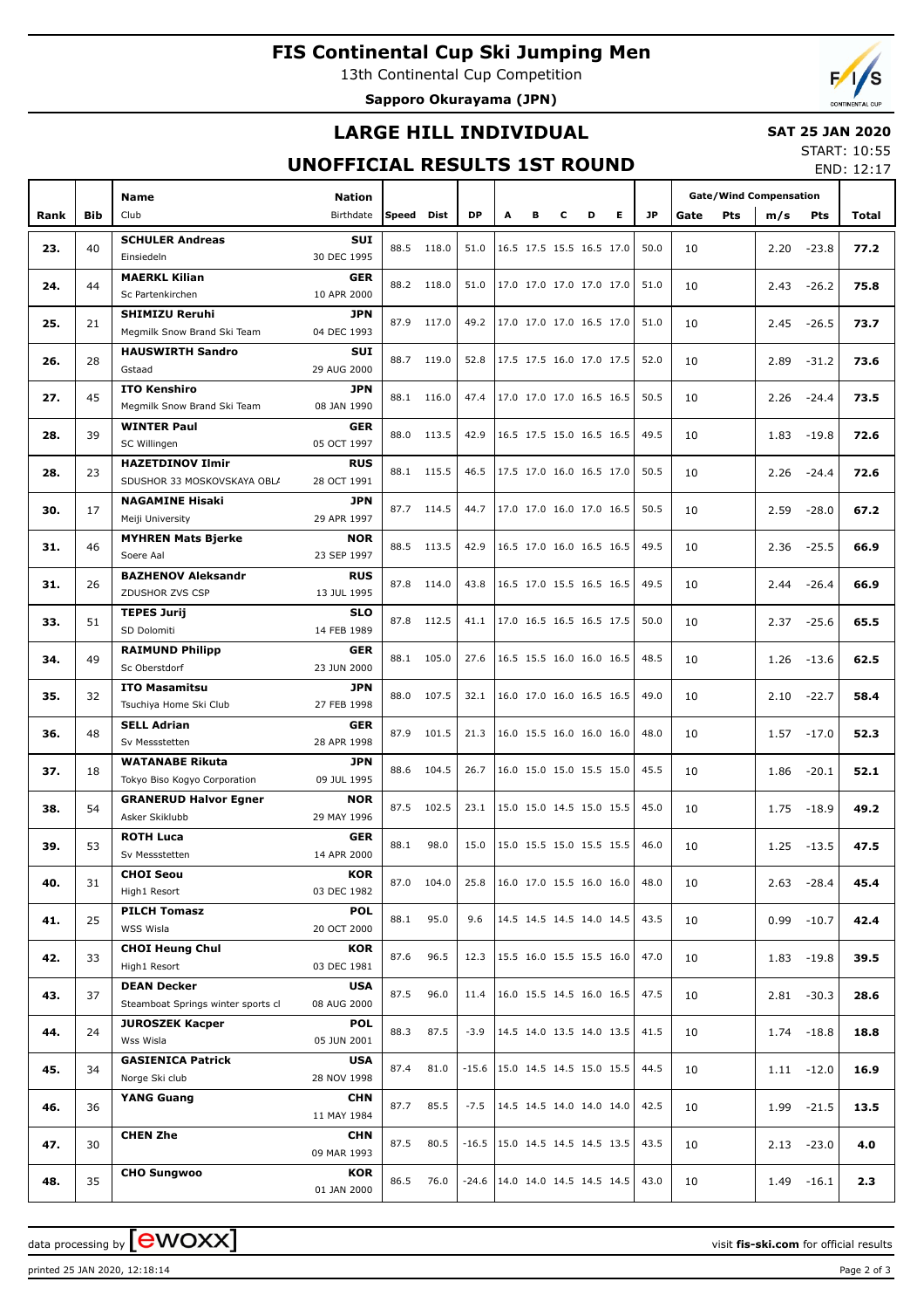## **FIS Continental Cup Ski Jumping Men**

13th Continental Cup Competition

**Sapporo Okurayama (JPN)**

# **LARGE HILL INDIVIDUAL**

#### **SAT 25 JAN 2020** START: 10:55

## **UNOFFICIAL RESULTS 1ST ROUND**

END: 12:17

|      |            | <b>Name</b>                                        | <b>Nation</b>             |            |            |           |   |   |   |                          |           | <b>Gate/Wind Compensation</b> |      |                                                                                                                                                                    |       |
|------|------------|----------------------------------------------------|---------------------------|------------|------------|-----------|---|---|---|--------------------------|-----------|-------------------------------|------|--------------------------------------------------------------------------------------------------------------------------------------------------------------------|-------|
| Rank | <b>Bib</b> | Club                                               | Birthdate                 | Speed Dist |            | <b>DP</b> | A | в | c | Е<br>D                   | <b>JP</b> | Gate<br>Pts                   | m/s  |                                                                                                                                                                    | Total |
|      |            |                                                    | <b>SUI</b>                |            |            |           |   |   |   |                          |           |                               |      |                                                                                                                                                                    |       |
| 23.  | 40         | <b>SCHULER Andreas</b><br>Einsiedeln               | 30 DEC 1995               | 88.5       | 118.0      | 51.0      |   |   |   | 16.5 17.5 15.5 16.5 17.0 | 50.0      | 10                            | 2.20 | $-23.8$                                                                                                                                                            | 77.2  |
|      |            | <b>MAERKL Kilian</b>                               | <b>GER</b>                |            |            |           |   |   |   |                          |           |                               |      |                                                                                                                                                                    |       |
| 24.  | 44         | Sc Partenkirchen                                   | 10 APR 2000               |            | 88.2 118.0 | 51.0      |   |   |   | 17.0 17.0 17.0 17.0 17.0 | 51.0      | 10                            | 2.43 |                                                                                                                                                                    | 75.8  |
| 25.  | 21         | <b>SHIMIZU Reruhi</b>                              | <b>JPN</b>                |            | 87.9 117.0 | 49.2      |   |   |   | 17.0 17.0 17.0 16.5 17.0 | 51.0      | 10                            |      |                                                                                                                                                                    | 73.7  |
|      |            | Megmilk Snow Brand Ski Team                        | 04 DEC 1993               |            |            |           |   |   |   |                          |           |                               |      |                                                                                                                                                                    |       |
| 26.  | 28         | <b>HAUSWIRTH Sandro</b>                            | <b>SUI</b>                |            | 88.7 119.0 | 52.8      |   |   |   | 17.5 17.5 16.0 17.0 17.5 | 52.0      | 10                            | 2.89 | $-31.2$                                                                                                                                                            | 73.6  |
|      |            | Gstaad                                             | 29 AUG 2000               |            |            |           |   |   |   |                          |           |                               |      |                                                                                                                                                                    |       |
| 27.  | 45         | <b>ITO Kenshiro</b><br>Megmilk Snow Brand Ski Team | <b>JPN</b><br>08 JAN 1990 | 88.1       | 116.0      | 47.4      |   |   |   | 17.0 17.0 17.0 16.5 16.5 | 50.5      | 10                            | 2.26 | $-24.4$                                                                                                                                                            | 73.5  |
|      |            | <b>WINTER Paul</b>                                 | <b>GER</b>                |            |            |           |   |   |   |                          |           |                               |      |                                                                                                                                                                    |       |
| 28.  | 39         | SC Willingen                                       | 05 OCT 1997               | 88.0       | 113.5      | 42.9      |   |   |   | 16.5 17.5 15.0 16.5 16.5 | 49.5      | 10                            | 1.83 | $-19.8$                                                                                                                                                            | 72.6  |
|      |            | <b>HAZETDINOV Ilmir</b>                            | <b>RUS</b>                |            |            |           |   |   |   |                          |           |                               |      |                                                                                                                                                                    |       |
| 28.  | 23         | SDUSHOR 33 MOSKOVSKAYA OBLA                        | 28 OCT 1991               |            | 88.1 115.5 | 46.5      |   |   |   | 17.5 17.0 16.0 16.5 17.0 | 50.5      | 10                            | 2.26 | $-24.4$                                                                                                                                                            | 72.6  |
|      |            | <b>NAGAMINE Hisaki</b>                             | <b>JPN</b>                |            |            |           |   |   |   | 17.0 17.0 16.0 17.0 16.5 |           |                               |      |                                                                                                                                                                    |       |
| 30.  | 17         | Meiji University                                   | 29 APR 1997               |            | 87.7 114.5 | 44.7      |   |   |   |                          | 50.5      | 10                            | 2.59 |                                                                                                                                                                    | 67.2  |
| 31.  | 46         | <b>MYHREN Mats Bjerke</b>                          | <b>NOR</b>                |            | 88.5 113.5 | 42.9      |   |   |   | 16.5 17.0 16.0 16.5 16.5 | 49.5      | 10                            | 2.36 |                                                                                                                                                                    | 66.9  |
|      |            | Soere Aal                                          | 23 SEP 1997               |            |            |           |   |   |   |                          |           |                               |      |                                                                                                                                                                    |       |
| 31.  | 26         | <b>BAZHENOV Aleksandr</b>                          | <b>RUS</b>                |            | 87.8 114.0 | 43.8      |   |   |   | 16.5 17.0 15.5 16.5 16.5 | 49.5      | 10                            | 2.44 | $-26.4$                                                                                                                                                            | 66.9  |
|      |            | ZDUSHOR ZVS CSP                                    | 13 JUL 1995               |            |            |           |   |   |   |                          |           |                               |      |                                                                                                                                                                    |       |
| 33.  | 51         | <b>TEPES Jurij</b><br>SD Dolomiti                  | <b>SLO</b><br>14 FEB 1989 |            | 87.8 112.5 | 41.1      |   |   |   | 17.0 16.5 16.5 16.5 17.5 | 50.0      | 10                            | 2.37 | $-25.6$                                                                                                                                                            | 65.5  |
|      |            | <b>RAIMUND Philipp</b>                             | <b>GER</b>                |            |            |           |   |   |   |                          |           |                               |      |                                                                                                                                                                    |       |
| 34.  | 49         | Sc Oberstdorf                                      | 23 JUN 2000               | 88.1       | 105.0      | 27.6      |   |   |   | 16.5 15.5 16.0 16.0 16.5 | 48.5      | 10                            | 1.26 | $-13.6$                                                                                                                                                            | 62.5  |
|      |            | <b>ITO Masamitsu</b>                               | <b>JPN</b>                |            |            |           |   |   |   |                          |           |                               |      |                                                                                                                                                                    |       |
| 35.  | 32         | Tsuchiya Home Ski Club                             | 27 FEB 1998               | 88.0       | 107.5      | 32.1      |   |   |   | 16.0 17.0 16.0 16.5 16.5 | 49.0      | 10                            | 2.10 |                                                                                                                                                                    | 58.4  |
|      |            | <b>SELL Adrian</b>                                 | <b>GER</b>                |            |            |           |   |   |   |                          |           |                               |      |                                                                                                                                                                    |       |
| 36.  | 48         | Sv Messstetten                                     | 28 APR 1998               | 87.9       | 101.5      | 21.3      |   |   |   | 16.0 15.5 16.0 16.0 16.0 | 48.0      | 10                            |      |                                                                                                                                                                    | 52.3  |
| 37.  | 18         | <b>WATANABE Rikuta</b>                             | <b>JPN</b>                |            | 88.6 104.5 | 26.7      |   |   |   | 16.0 15.0 15.0 15.5 15.0 | 45.5      | 10                            | 1.86 |                                                                                                                                                                    | 52.1  |
|      |            | Tokyo Biso Kogyo Corporation                       | 09 JUL 1995               |            |            |           |   |   |   |                          |           |                               |      |                                                                                                                                                                    |       |
| 38.  | 54         | <b>GRANERUD Halvor Egner</b>                       | <b>NOR</b>                | 87.5       | 102.5      | 23.1      |   |   |   | 15.0 15.0 14.5 15.0 15.5 | 45.0      | 10                            | 1.75 | $-18.9$                                                                                                                                                            | 49.2  |
|      |            | Asker Skiklubb                                     | 29 MAY 1996               |            |            |           |   |   |   |                          |           |                               |      |                                                                                                                                                                    |       |
| 39.  | 53         | <b>ROTH Luca</b><br>Sv Messstetten                 | <b>GER</b><br>14 APR 2000 | 88.1       | 98.0       | 15.0      |   |   |   | 15.0 15.5 15.0 15.5 15.5 | 46.0      | 10                            |      |                                                                                                                                                                    | 47.5  |
|      |            | <b>CHOI Seou</b>                                   | KOR                       |            |            |           |   |   |   |                          |           |                               |      |                                                                                                                                                                    |       |
| 40.  | 31         | High1 Resort                                       | 03 DEC 1982               |            | 87.0 104.0 | 25.8      |   |   |   | 16.0 17.0 15.5 16.0 16.0 | 48.0      | 10                            |      |                                                                                                                                                                    | 45.4  |
|      |            | <b>PILCH Tomasz</b>                                | <b>POL</b>                |            |            |           |   |   |   |                          |           |                               |      |                                                                                                                                                                    |       |
| 41.  | 25         | WSS Wisla                                          | 20 OCT 2000               | 88.1       | 95.0       | 9.6       |   |   |   | 14.5 14.5 14.5 14.0 14.5 | 43.5      | 10                            |      |                                                                                                                                                                    | 42.4  |
| 42.  | 33         | <b>CHOI Heung Chul</b>                             | <b>KOR</b>                | 87.6       | 96.5       | 12.3      |   |   |   | 15.5 16.0 15.5 15.5 16.0 | 47.0      | 10                            |      |                                                                                                                                                                    | 39.5  |
|      |            | High1 Resort                                       | 03 DEC 1981               |            |            |           |   |   |   |                          |           |                               |      |                                                                                                                                                                    |       |
| 43.  | 37         | <b>DEAN Decker</b>                                 | <b>USA</b>                | 87.5       | 96.0       | 11.4      |   |   |   | 16.0 15.5 14.5 16.0 16.5 | 47.5      | 10                            |      |                                                                                                                                                                    | 28.6  |
|      |            | Steamboat Springs winter sports cl                 | 08 AUG 2000               |            |            |           |   |   |   |                          |           |                               |      |                                                                                                                                                                    |       |
| 44.  | 24         | <b>JUROSZEK Kacper</b><br>Wss Wisla                | <b>POL</b><br>05 JUN 2001 | 88.3       | 87.5       | $-3.9$    |   |   |   | 14.5 14.0 13.5 14.0 13.5 | 41.5      | 10                            |      |                                                                                                                                                                    | 18.8  |
|      |            | <b>GASIENICA Patrick</b>                           | <b>USA</b>                |            |            |           |   |   |   |                          |           |                               |      |                                                                                                                                                                    |       |
| 45.  | 34         | Norge Ski club                                     | 28 NOV 1998               | 87.4       | 81.0       | $-15.6$   |   |   |   | 15.0 14.5 14.5 15.0 15.5 | 44.5      | 10                            |      | Pts<br>$-26.2$<br>$-26.5$<br>$-28.0$<br>$-25.5$<br>$-22.7$<br>$-17.0$<br>$-20.1$<br>$-16.1$                                                                        | 16.9  |
|      |            | <b>YANG Guang</b>                                  | <b>CHN</b>                |            |            |           |   |   |   |                          |           |                               |      | 2.45<br>1.57<br>$1.25 - 13.5$<br>$2.63 - 28.4$<br>$0.99 - 10.7$<br>$1.83 - 19.8$<br>$2.81 - 30.3$<br>$1.74 - 18.8$<br>$1.11 - 12.0$<br>1.99 -21.5<br>$2.13 - 23.0$ |       |
| 46.  | 36         |                                                    | 11 MAY 1984               | 87.7       | 85.5       | $-7.5$    |   |   |   | 14.5 14.5 14.0 14.0 14.0 | 42.5      | 10                            |      |                                                                                                                                                                    | 13.5  |
|      |            | <b>CHEN Zhe</b>                                    | <b>CHN</b>                | 87.5       | 80.5       | $-16.5$   |   |   |   | 15.0 14.5 14.5 14.5 13.5 |           |                               |      |                                                                                                                                                                    |       |
| 47.  | 30         |                                                    | 09 MAR 1993               |            |            |           |   |   |   |                          | 43.5      | 10                            |      |                                                                                                                                                                    | 4.0   |
| 48.  | 35         | <b>CHO Sungwoo</b>                                 | <b>KOR</b>                | 86.5       | 76.0       | $-24.6$   |   |   |   | 14.0 14.0 14.5 14.5 14.5 | 43.0      | 10                            | 1.49 |                                                                                                                                                                    | 2.3   |
|      |            |                                                    | 01 JAN 2000               |            |            |           |   |   |   |                          |           |                               |      |                                                                                                                                                                    |       |

printed 25 JAN 2020, 12:18:14 Page 2 of 3

data processing by **CWOXX** and  $\overline{C}$  and  $\overline{C}$  and  $\overline{C}$  and  $\overline{C}$  and  $\overline{C}$  and  $\overline{C}$  and  $\overline{C}$  and  $\overline{C}$  and  $\overline{C}$  and  $\overline{C}$  and  $\overline{C}$  and  $\overline{C}$  and  $\overline{C}$  and  $\overline{C}$  and  $\overline{C}$